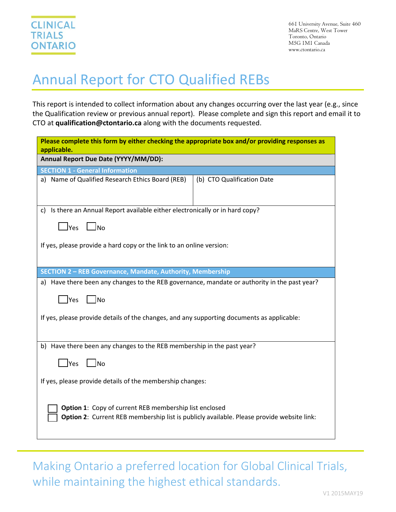## Annual Report for CTO Qualified REBs

This report is intended to collect information about any changes occurring over the last year (e.g., since the Qualification review or previous annual report). Please complete and sign this report and email it to CTO at **qualification@ctontario.ca** along with the documents requested.

| Please complete this form by either checking the appropriate box and/or providing responses as<br>applicable.                                       |                            |  |  |  |  |  |
|-----------------------------------------------------------------------------------------------------------------------------------------------------|----------------------------|--|--|--|--|--|
| Annual Report Due Date (YYYY/MM/DD):                                                                                                                |                            |  |  |  |  |  |
| <b>SECTION 1 - General Information</b>                                                                                                              |                            |  |  |  |  |  |
| a) Name of Qualified Research Ethics Board (REB)                                                                                                    | (b) CTO Qualification Date |  |  |  |  |  |
| c) Is there an Annual Report available either electronically or in hard copy?                                                                       |                            |  |  |  |  |  |
| $\Box$ Yes $\Box$ No                                                                                                                                |                            |  |  |  |  |  |
| If yes, please provide a hard copy or the link to an online version:                                                                                |                            |  |  |  |  |  |
| SECTION 2 - REB Governance, Mandate, Authority, Membership                                                                                          |                            |  |  |  |  |  |
| a) Have there been any changes to the REB governance, mandate or authority in the past year?                                                        |                            |  |  |  |  |  |
| Yes<br><b>No</b>                                                                                                                                    |                            |  |  |  |  |  |
| If yes, please provide details of the changes, and any supporting documents as applicable:                                                          |                            |  |  |  |  |  |
| b) Have there been any changes to the REB membership in the past year?                                                                              |                            |  |  |  |  |  |
| Yes<br>- Ino                                                                                                                                        |                            |  |  |  |  |  |
| If yes, please provide details of the membership changes:                                                                                           |                            |  |  |  |  |  |
| Option 1: Copy of current REB membership list enclosed<br>Option 2: Current REB membership list is publicly available. Please provide website link: |                            |  |  |  |  |  |

Making Ontario a preferred location for Global Clinical Trials, while maintaining the highest ethical standards.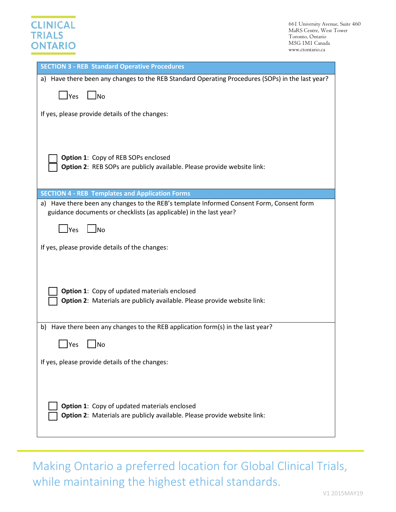## **CLINICAL TRIALS ONTARIO**

661 University Avenue, Suite 460 MaRS Centre, West Tower Toronto, Ontario M5G 1M1 Canada www.ctontario.ca

| <b>SECTION 3 - REB Standard Operative Procedures</b>                                                                                                           |  |  |  |  |
|----------------------------------------------------------------------------------------------------------------------------------------------------------------|--|--|--|--|
| a) Have there been any changes to the REB Standard Operating Procedures (SOPs) in the last year?                                                               |  |  |  |  |
| $\Box$ No<br>$\mathsf{\Delta}$ Yes                                                                                                                             |  |  |  |  |
| If yes, please provide details of the changes:                                                                                                                 |  |  |  |  |
| Option 1: Copy of REB SOPs enclosed<br>Option 2: REB SOPs are publicly available. Please provide website link:                                                 |  |  |  |  |
| <b>SECTION 4 - REB Templates and Application Forms</b>                                                                                                         |  |  |  |  |
| a) Have there been any changes to the REB's template Informed Consent Form, Consent form<br>guidance documents or checklists (as applicable) in the last year? |  |  |  |  |
| $\Box$ Yes<br>$\overline{\phantom{a}}$ No                                                                                                                      |  |  |  |  |
| If yes, please provide details of the changes:                                                                                                                 |  |  |  |  |
| Option 1: Copy of updated materials enclosed<br>Option 2: Materials are publicly available. Please provide website link:                                       |  |  |  |  |
| b) Have there been any changes to the REB application form(s) in the last year?                                                                                |  |  |  |  |
| Yes<br>No                                                                                                                                                      |  |  |  |  |
| If yes, please provide details of the changes:                                                                                                                 |  |  |  |  |
| <b>Option 1:</b> Copy of updated materials enclosed<br>Option 2: Materials are publicly available. Please provide website link:                                |  |  |  |  |

Making Ontario a preferred location for Global Clinical Trials, while maintaining the highest ethical standards.